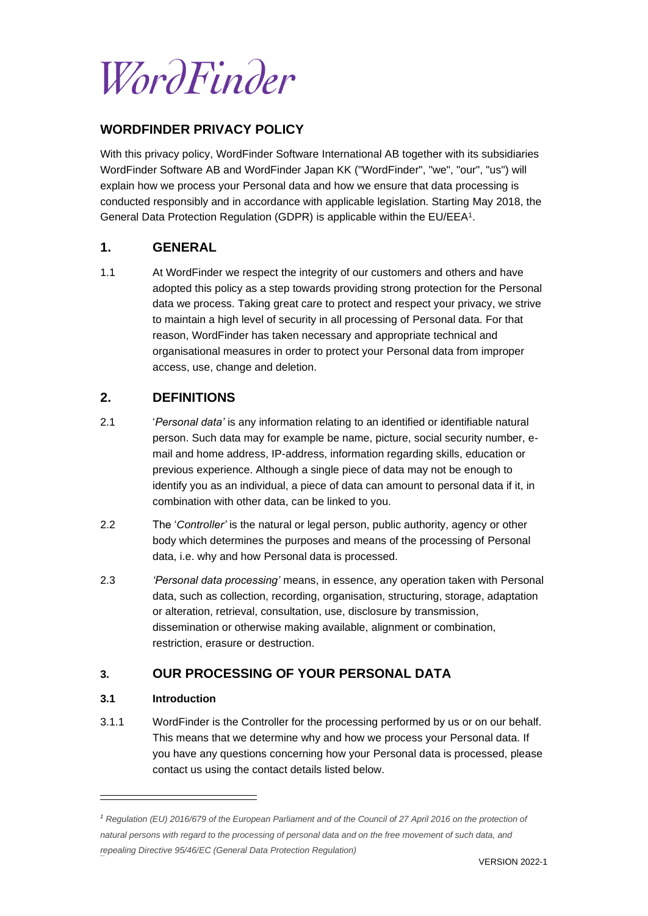WordFinder

### **WORDFINDER PRIVACY POLICY**

With this privacy policy, WordFinder Software International AB together with its subsidiaries WordFinder Software AB and WordFinder Japan KK ("WordFinder", "we", "our", "us") will explain how we process your Personal data and how we ensure that data processing is conducted responsibly and in accordance with applicable legislation. Starting May 2018, the General Data Protection Regulation (GDPR) is applicable within the EU/EEA<sup>1</sup>.

## **1. GENERAL**

1.1 At WordFinder we respect the integrity of our customers and others and have adopted this policy as a step towards providing strong protection for the Personal data we process. Taking great care to protect and respect your privacy, we strive to maintain a high level of security in all processing of Personal data. For that reason, WordFinder has taken necessary and appropriate technical and organisational measures in order to protect your Personal data from improper access, use, change and deletion.

### **2. DEFINITIONS**

- 2.1 '*Personal data'* is any information relating to an identified or identifiable natural person. Such data may for example be name, picture, social security number, email and home address, IP-address, information regarding skills, education or previous experience. Although a single piece of data may not be enough to identify you as an individual, a piece of data can amount to personal data if it, in combination with other data, can be linked to you.
- 2.2 The '*Controller'* is the natural or legal person, public authority, agency or other body which determines the purposes and means of the processing of Personal data, i.e. why and how Personal data is processed.
- 2.3 *'Personal data processing'* means, in essence, any operation taken with Personal data, such as collection, recording, organisation, structuring, storage, adaptation or alteration, retrieval, consultation, use, disclosure by transmission, dissemination or otherwise making available, alignment or combination, restriction, erasure or destruction.

## **3. OUR PROCESSING OF YOUR PERSONAL DATA**

#### **3.1 Introduction**

396920v3

3.1.1 WordFinder is the Controller for the processing performed by us or on our behalf. This means that we determine why and how we process your Personal data. If you have any questions concerning how your Personal data is processed, please contact us using the contact details listed below.

*<sup>1</sup> Regulation (EU) 2016/679 of the European Parliament and of the Council of 27 April 2016 on the protection of natural persons with regard to the processing of personal data and on the free movement of such data, and repealing Directive 95/46/EC (General Data Protection Regulation)*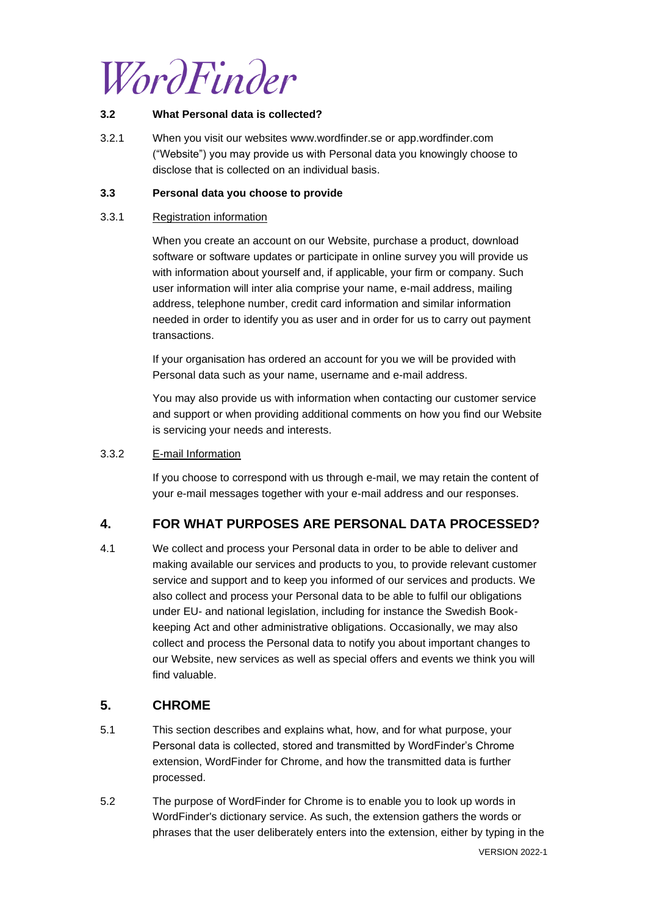

#### **3.2 What Personal data is collected?**

3.2.1 When you visit our websites [www.wordfinder.se](http://www.wordfinder.se/) or app.wordfinder.com ("Website") you may provide us with Personal data you knowingly choose to disclose that is collected on an individual basis.

#### **3.3 Personal data you choose to provide**

#### 3.3.1 Registration information

When you create an account on our Website, purchase a product, download software or software updates or participate in online survey you will provide us with information about yourself and, if applicable, your firm or company. Such user information will inter alia comprise your name, e-mail address, mailing address, telephone number, credit card information and similar information needed in order to identify you as user and in order for us to carry out payment transactions.

If your organisation has ordered an account for you we will be provided with Personal data such as your name, username and e-mail address.

You may also provide us with information when contacting our customer service and support or when providing additional comments on how you find our Website is servicing your needs and interests.

#### 3.3.2 E-mail Information

If you choose to correspond with us through e-mail, we may retain the content of your e-mail messages together with your e-mail address and our responses.

## **4. FOR WHAT PURPOSES ARE PERSONAL DATA PROCESSED?**

4.1 We collect and process your Personal data in order to be able to deliver and making available our services and products to you, to provide relevant customer service and support and to keep you informed of our services and products. We also collect and process your Personal data to be able to fulfil our obligations under EU- and national legislation, including for instance the Swedish Bookkeeping Act and other administrative obligations. Occasionally, we may also collect and process the Personal data to notify you about important changes to our Website, new services as well as special offers and events we think you will find valuable.

### **5. CHROME**

- 5.1 This section describes and explains what, how, and for what purpose, your Personal data is collected, stored and transmitted by WordFinder's Chrome extension, WordFinder for Chrome, and how the transmitted data is further processed.
- 5.2 The purpose of WordFinder for Chrome is to enable you to look up words in WordFinder's dictionary service. As such, the extension gathers the words or phrases that the user deliberately enters into the extension, either by typing in the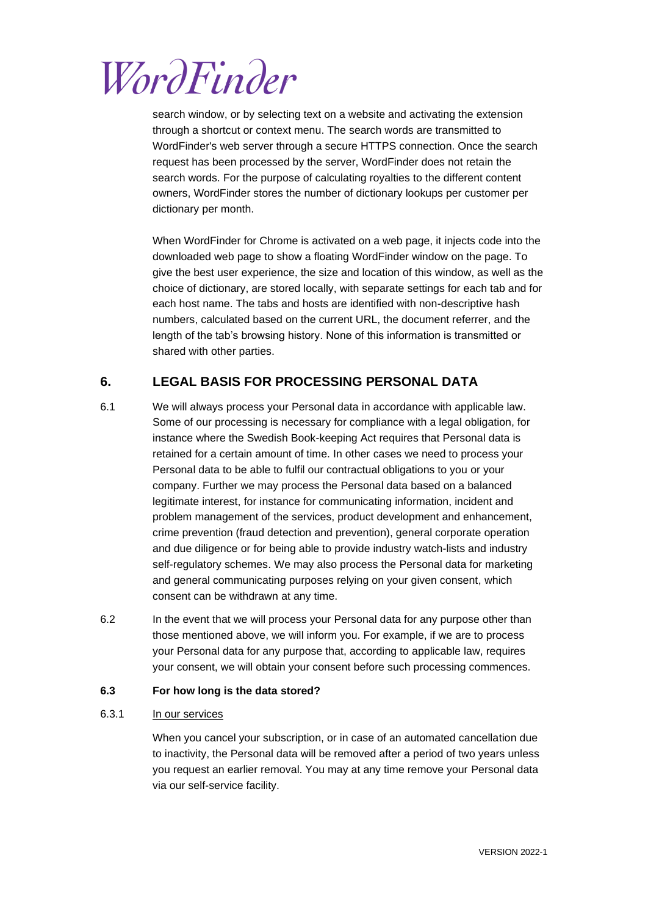

search window, or by selecting text on a website and activating the extension through a shortcut or context menu. The search words are transmitted to WordFinder's web server through a secure HTTPS connection. Once the search request has been processed by the server, WordFinder does not retain the search words. For the purpose of calculating royalties to the different content owners, WordFinder stores the number of dictionary lookups per customer per dictionary per month.

When WordFinder for Chrome is activated on a web page, it injects code into the downloaded web page to show a floating WordFinder window on the page. To give the best user experience, the size and location of this window, as well as the choice of dictionary, are stored locally, with separate settings for each tab and for each host name. The tabs and hosts are identified with non-descriptive hash numbers, calculated based on the current URL, the document referrer, and the length of the tab's browsing history. None of this information is transmitted or shared with other parties.

## **6. LEGAL BASIS FOR PROCESSING PERSONAL DATA**

- 6.1 We will always process your Personal data in accordance with applicable law. Some of our processing is necessary for compliance with a legal obligation, for instance where the Swedish Book-keeping Act requires that Personal data is retained for a certain amount of time. In other cases we need to process your Personal data to be able to fulfil our contractual obligations to you or your company. Further we may process the Personal data based on a balanced legitimate interest, for instance for communicating information, incident and problem management of the services, product development and enhancement, crime prevention (fraud detection and prevention), general corporate operation and due diligence or for being able to provide industry watch-lists and industry self-regulatory schemes. We may also process the Personal data for marketing and general communicating purposes relying on your given consent, which consent can be withdrawn at any time.
- 6.2 In the event that we will process your Personal data for any purpose other than those mentioned above, we will inform you. For example, if we are to process your Personal data for any purpose that, according to applicable law, requires your consent, we will obtain your consent before such processing commences.

#### **6.3 For how long is the data stored?**

#### 6.3.1 In our services

When you cancel your subscription, or in case of an automated cancellation due to inactivity, the Personal data will be removed after a period of two years unless you request an earlier removal. You may at any time remove your Personal data via our self-service facility.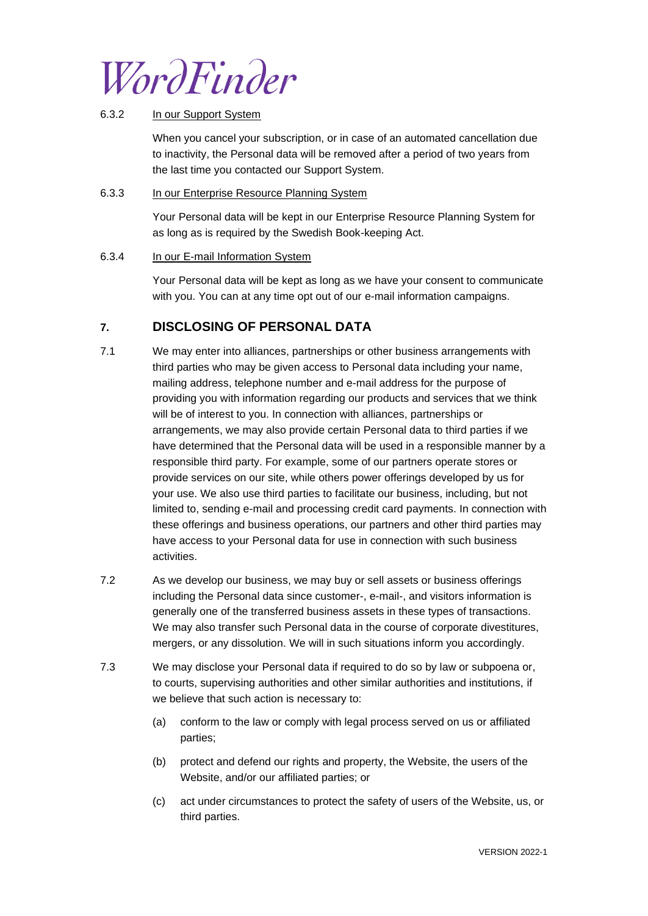WordFinder

#### 6.3.2 In our Support System

When you cancel your subscription, or in case of an automated cancellation due to inactivity, the Personal data will be removed after a period of two years from the last time you contacted our Support System.

#### 6.3.3 In our Enterprise Resource Planning System

Your Personal data will be kept in our Enterprise Resource Planning System for as long as is required by the Swedish Book-keeping Act.

#### 6.3.4 In our E-mail Information System

Your Personal data will be kept as long as we have your consent to communicate with you. You can at any time opt out of our e-mail information campaigns.

## <span id="page-3-0"></span>**7. DISCLOSING OF PERSONAL DATA**

- 7.1 We may enter into alliances, partnerships or other business arrangements with third parties who may be given access to Personal data including your name, mailing address, telephone number and e-mail address for the purpose of providing you with information regarding our products and services that we think will be of interest to you. In connection with alliances, partnerships or arrangements, we may also provide certain Personal data to third parties if we have determined that the Personal data will be used in a responsible manner by a responsible third party. For example, some of our partners operate stores or provide services on our site, while others power offerings developed by us for your use. We also use third parties to facilitate our business, including, but not limited to, sending e-mail and processing credit card payments. In connection with these offerings and business operations, our partners and other third parties may have access to your Personal data for use in connection with such business activities.
- 7.2 As we develop our business, we may buy or sell assets or business offerings including the Personal data since customer-, e-mail-, and visitors information is generally one of the transferred business assets in these types of transactions. We may also transfer such Personal data in the course of corporate divestitures, mergers, or any dissolution. We will in such situations inform you accordingly.
- 7.3 We may disclose your Personal data if required to do so by law or subpoena or, to courts, supervising authorities and other similar authorities and institutions, if we believe that such action is necessary to:
	- (a) conform to the law or comply with legal process served on us or affiliated parties;
	- (b) protect and defend our rights and property, the Website, the users of the Website, and/or our affiliated parties; or
	- (c) act under circumstances to protect the safety of users of the Website, us, or third parties.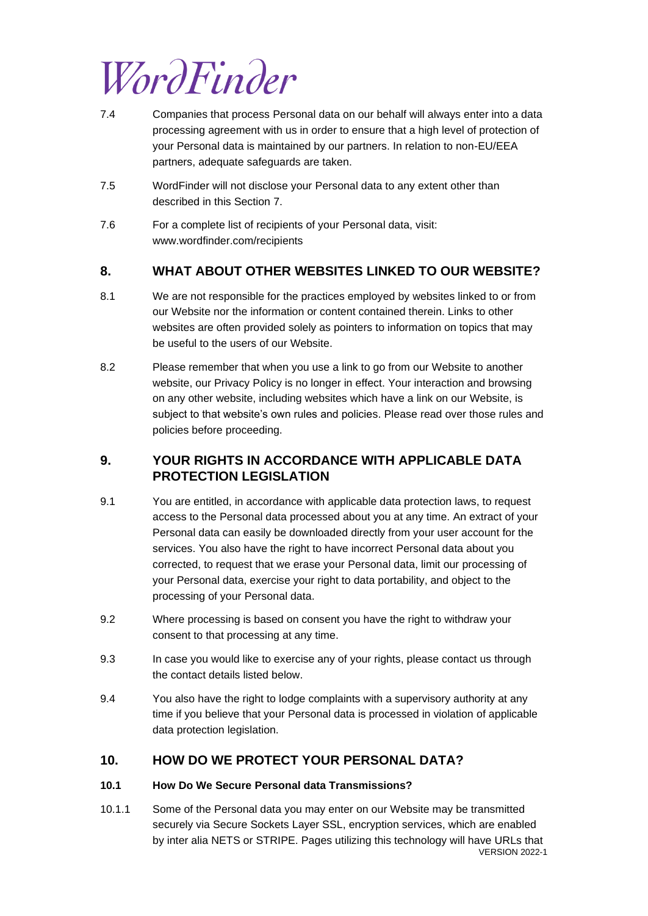

- 7.4 Companies that process Personal data on our behalf will always enter into a data processing agreement with us in order to ensure that a high level of protection of your Personal data is maintained by our partners. In relation to non-EU/EEA partners, adequate safeguards are taken.
- 7.5 WordFinder will not disclose your Personal data to any extent other than described in this Section [7.](#page-3-0)
- 7.6 For a complete list of recipients of your Personal data, visit: www.wordfinder.com/recipients

### **8. WHAT ABOUT OTHER WEBSITES LINKED TO OUR WEBSITE?**

- 8.1 We are not responsible for the practices employed by websites linked to or from our Website nor the information or content contained therein. Links to other websites are often provided solely as pointers to information on topics that may be useful to the users of our Website.
- 8.2 Please remember that when you use a link to go from our Website to another website, our Privacy Policy is no longer in effect. Your interaction and browsing on any other website, including websites which have a link on our Website, is subject to that website's own rules and policies. Please read over those rules and policies before proceeding.

## **9. YOUR RIGHTS IN ACCORDANCE WITH APPLICABLE DATA PROTECTION LEGISLATION**

- 9.1 You are entitled, in accordance with applicable data protection laws, to request access to the Personal data processed about you at any time. An extract of your Personal data can easily be downloaded directly from your user account for the services. You also have the right to have incorrect Personal data about you corrected, to request that we erase your Personal data, limit our processing of your Personal data, exercise your right to data portability, and object to the processing of your Personal data.
- 9.2 Where processing is based on consent you have the right to withdraw your consent to that processing at any time.
- 9.3 In case you would like to exercise any of your rights, please contact us through the contact details listed below.
- 9.4 You also have the right to lodge complaints with a supervisory authority at any time if you believe that your Personal data is processed in violation of applicable data protection legislation.

## **10. HOW DO WE PROTECT YOUR PERSONAL DATA?**

### **10.1 How Do We Secure Personal data Transmissions?**

VERSION 2022-1 10.1.1 Some of the Personal data you may enter on our Website may be transmitted securely via Secure Sockets Layer SSL, encryption services, which are enabled by inter alia NETS or STRIPE. Pages utilizing this technology will have URLs that